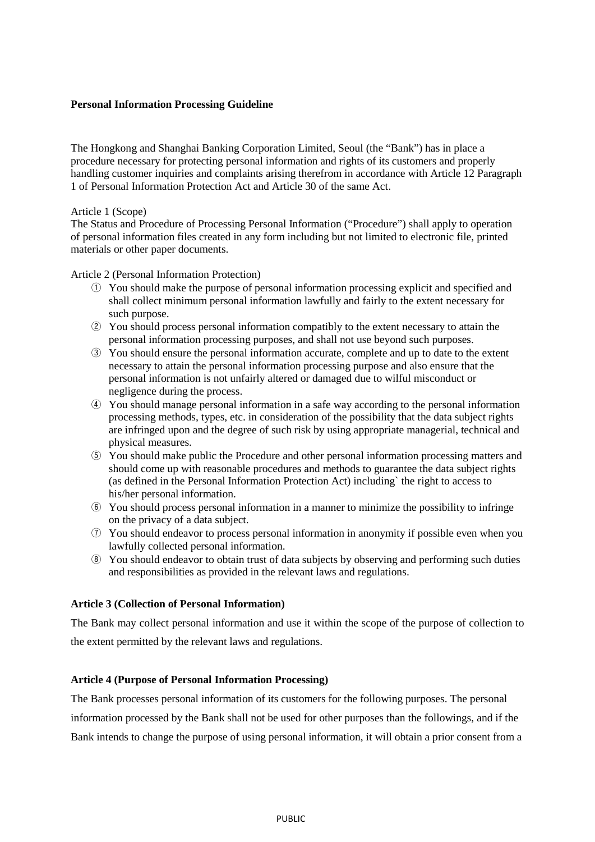# **Personal Information Processing Guideline**

The Hongkong and Shanghai Banking Corporation Limited, Seoul (the "Bank") has in place a procedure necessary for protecting personal information and rights of its customers and properly handling customer inquiries and complaints arising therefrom in accordance with Article 12 Paragraph 1 of Personal Information Protection Act and Article 30 of the same Act.

#### Article 1 (Scope)

The Status and Procedure of Processing Personal Information ("Procedure") shall apply to operation of personal information files created in any form including but not limited to electronic file, printed materials or other paper documents.

Article 2 (Personal Information Protection)

- ① You should make the purpose of personal information processing explicit and specified and shall collect minimum personal information lawfully and fairly to the extent necessary for such purpose.
- ② You should process personal information compatibly to the extent necessary to attain the personal information processing purposes, and shall not use beyond such purposes.
- ③ You should ensure the personal information accurate, complete and up to date to the extent necessary to attain the personal information processing purpose and also ensure that the personal information is not unfairly altered or damaged due to wilful misconduct or negligence during the process.
- ④ You should manage personal information in a safe way according to the personal information processing methods, types, etc. in consideration of the possibility that the data subject rights are infringed upon and the degree of such risk by using appropriate managerial, technical and physical measures.
- ⑤ You should make public the Procedure and other personal information processing matters and should come up with reasonable procedures and methods to guarantee the data subject rights (as defined in the Personal Information Protection Act) including` the right to access to his/her personal information.
- ⑥ You should process personal information in a manner to minimize the possibility to infringe on the privacy of a data subject.
- ⑦ You should endeavor to process personal information in anonymity if possible even when you lawfully collected personal information.
- ⑧ You should endeavor to obtain trust of data subjects by observing and performing such duties and responsibilities as provided in the relevant laws and regulations.

#### **Article 3 (Collection of Personal Information)**

The Bank may collect personal information and use it within the scope of the purpose of collection to the extent permitted by the relevant laws and regulations.

## **Article 4 (Purpose of Personal Information Processing)**

The Bank processes personal information of its customers for the following purposes. The personal information processed by the Bank shall not be used for other purposes than the followings, and if the Bank intends to change the purpose of using personal information, it will obtain a prior consent from a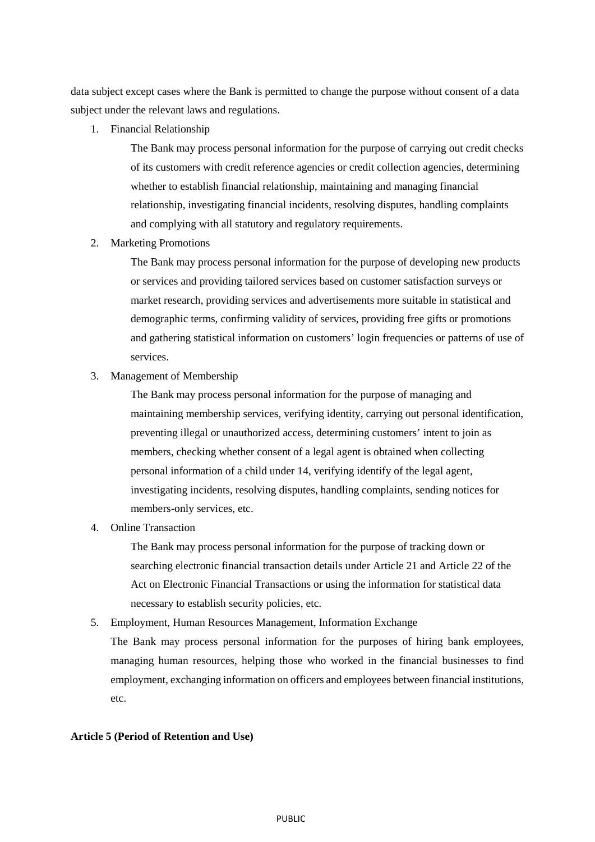data subject except cases where the Bank is permitted to change the purpose without consent of a data subject under the relevant laws and regulations.

1. Financial Relationship

The Bank may process personal information for the purpose of carrying out credit checks of its customers with credit reference agencies or credit collection agencies, determining whether to establish financial relationship, maintaining and managing financial relationship, investigating financial incidents, resolving disputes, handling complaints and complying with all statutory and regulatory requirements.

2. Marketing Promotions

The Bank may process personal information for the purpose of developing new products or services and providing tailored services based on customer satisfaction surveys or market research, providing services and advertisements more suitable in statistical and demographic terms, confirming validity of services, providing free gifts or promotions and gathering statistical information on customers' login frequencies or patterns of use of services.

3. Management of Membership

The Bank may process personal information for the purpose of managing and maintaining membership services, verifying identity, carrying out personal identification, preventing illegal or unauthorized access, determining customers' intent to join as members, checking whether consent of a legal agent is obtained when collecting personal information of a child under 14, verifying identify of the legal agent, investigating incidents, resolving disputes, handling complaints, sending notices for members-only services, etc.

4. Online Transaction

The Bank may process personal information for the purpose of tracking down or searching electronic financial transaction details under Article 21 and Article 22 of the Act on Electronic Financial Transactions or using the information for statistical data necessary to establish security policies, etc.

5. Employment, Human Resources Management, Information Exchange

The Bank may process personal information for the purposes of hiring bank employees, managing human resources, helping those who worked in the financial businesses to find employment, exchanging information on officers and employees between financial institutions, etc.

#### **Article 5 (Period of Retention and Use)**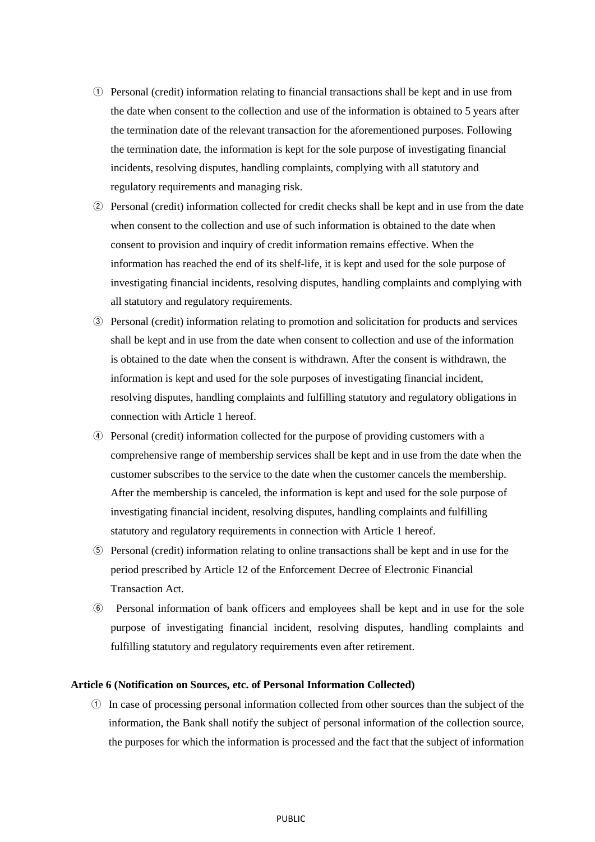- ① Personal (credit) information relating to financial transactions shall be kept and in use from the date when consent to the collection and use of the information is obtained to 5 years after the termination date of the relevant transaction for the aforementioned purposes. Following the termination date, the information is kept for the sole purpose of investigating financial incidents, resolving disputes, handling complaints, complying with all statutory and regulatory requirements and managing risk.
- ② Personal (credit) information collected for credit checks shall be kept and in use from the date when consent to the collection and use of such information is obtained to the date when consent to provision and inquiry of credit information remains effective. When the information has reached the end of its shelf-life, it is kept and used for the sole purpose of investigating financial incidents, resolving disputes, handling complaints and complying with all statutory and regulatory requirements.
- ③ Personal (credit) information relating to promotion and solicitation for products and services shall be kept and in use from the date when consent to collection and use of the information is obtained to the date when the consent is withdrawn. After the consent is withdrawn, the information is kept and used for the sole purposes of investigating financial incident, resolving disputes, handling complaints and fulfilling statutory and regulatory obligations in connection with Article 1 hereof.
- ④ Personal (credit) information collected for the purpose of providing customers with a comprehensive range of membership services shall be kept and in use from the date when the customer subscribes to the service to the date when the customer cancels the membership. After the membership is canceled, the information is kept and used for the sole purpose of investigating financial incident, resolving disputes, handling complaints and fulfilling statutory and regulatory requirements in connection with Article 1 hereof.
- ⑤ Personal (credit) information relating to online transactions shall be kept and in use for the period prescribed by Article 12 of the Enforcement Decree of Electronic Financial Transaction Act.
- ⑥ Personal information of bank officers and employees shall be kept and in use for the sole purpose of investigating financial incident, resolving disputes, handling complaints and fulfilling statutory and regulatory requirements even after retirement.

#### **Article 6 (Notification on Sources, etc. of Personal Information Collected)**

① In case of processing personal information collected from other sources than the subject of the information, the Bank shall notify the subject of personal information of the collection source, the purposes for which the information is processed and the fact that the subject of information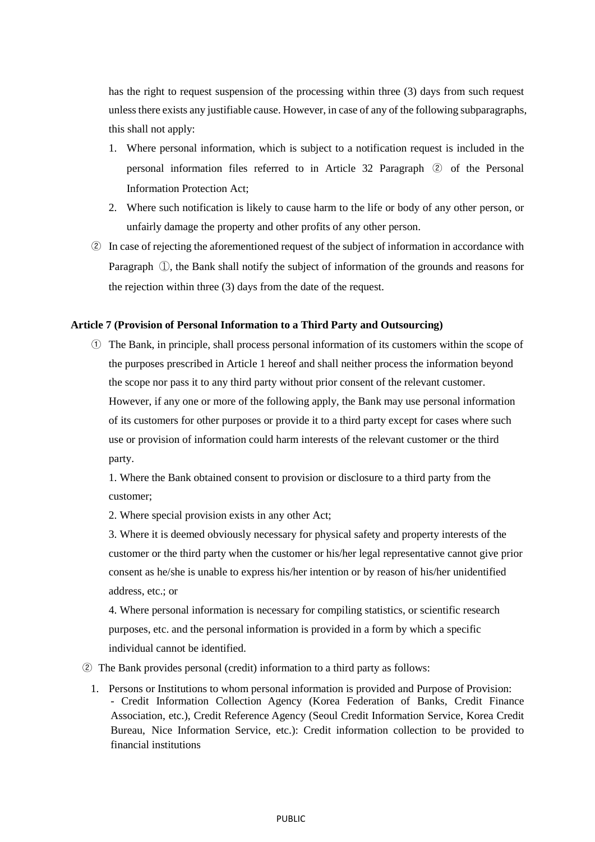has the right to request suspension of the processing within three (3) days from such request unless there exists any justifiable cause. However, in case of any of the following subparagraphs, this shall not apply:

- 1. Where personal information, which is subject to a notification request is included in the personal information files referred to in Article 32 Paragraph ② of the Personal Information Protection Act;
- 2. Where such notification is likely to cause harm to the life or body of any other person, or unfairly damage the property and other profits of any other person.
- ② In case of rejecting the aforementioned request of the subject of information in accordance with Paragraph ①, the Bank shall notify the subject of information of the grounds and reasons for the rejection within three (3) days from the date of the request.

#### **Article 7 (Provision of Personal Information to a Third Party and Outsourcing)**

① The Bank, in principle, shall process personal information of its customers within the scope of the purposes prescribed in Article 1 hereof and shall neither process the information beyond the scope nor pass it to any third party without prior consent of the relevant customer. However, if any one or more of the following apply, the Bank may use personal information of its customers for other purposes or provide it to a third party except for cases where such use or provision of information could harm interests of the relevant customer or the third party.

1. Where the Bank obtained consent to provision or disclosure to a third party from the customer;

2. Where special provision exists in any other Act;

3. Where it is deemed obviously necessary for physical safety and property interests of the customer or the third party when the customer or his/her legal representative cannot give prior consent as he/she is unable to express his/her intention or by reason of his/her unidentified address, etc.; or

4. Where personal information is necessary for compiling statistics, or scientific research purposes, etc. and the personal information is provided in a form by which a specific individual cannot be identified.

#### ② The Bank provides personal (credit) information to a third party as follows:

1. Persons or Institutions to whom personal information is provided and Purpose of Provision: - Credit Information Collection Agency (Korea Federation of Banks, Credit Finance Association, etc.), Credit Reference Agency (Seoul Credit Information Service, Korea Credit Bureau, Nice Information Service, etc.): Credit information collection to be provided to financial institutions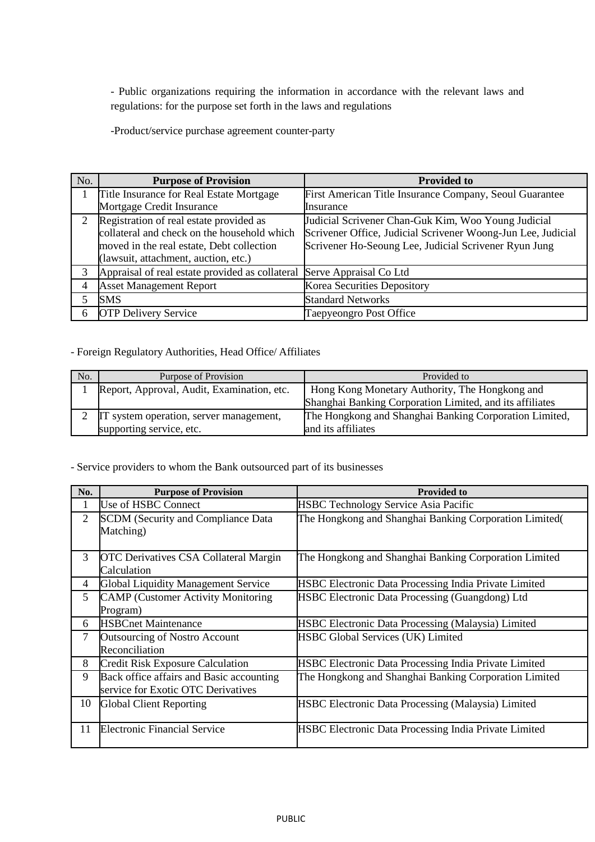- Public organizations requiring the information in accordance with the relevant laws and regulations: for the purpose set forth in the laws and regulations

-Product/service purchase agreement counter-party

| No. | <b>Purpose of Provision</b>                                                                                                                                                 | <b>Provided to</b>                                                                                                                                                           |  |
|-----|-----------------------------------------------------------------------------------------------------------------------------------------------------------------------------|------------------------------------------------------------------------------------------------------------------------------------------------------------------------------|--|
|     | Title Insurance for Real Estate Mortgage                                                                                                                                    | First American Title Insurance Company, Seoul Guarantee                                                                                                                      |  |
|     | Mortgage Credit Insurance                                                                                                                                                   | Insurance                                                                                                                                                                    |  |
| 2   | Registration of real estate provided as<br>collateral and check on the household which<br>moved in the real estate, Debt collection<br>(lawsuit, attachment, auction, etc.) | Judicial Scrivener Chan-Guk Kim, Woo Young Judicial<br>Scrivener Office, Judicial Scrivener Woong-Jun Lee, Judicial<br>Scrivener Ho-Seoung Lee, Judicial Scrivener Ryun Jung |  |
| 3   | Appraisal of real estate provided as collateral Serve Appraisal Co Ltd                                                                                                      |                                                                                                                                                                              |  |
| 4   | <b>Asset Management Report</b>                                                                                                                                              | <b>Korea Securities Depository</b>                                                                                                                                           |  |
|     | SMS                                                                                                                                                                         | <b>Standard Networks</b>                                                                                                                                                     |  |
| 6   | <b>OTP Delivery Service</b>                                                                                                                                                 | Taepyeongro Post Office                                                                                                                                                      |  |

# - Foreign Regulatory Authorities, Head Office/ Affiliates

| No. | Purpose of Provision                       | Provided to                                              |  |
|-----|--------------------------------------------|----------------------------------------------------------|--|
|     | Report, Approval, Audit, Examination, etc. | Hong Kong Monetary Authority, The Hongkong and           |  |
|     |                                            | Shanghai Banking Corporation Limited, and its affiliates |  |
|     | IT system operation, server management,    | The Hongkong and Shanghai Banking Corporation Limited,   |  |
|     | supporting service, etc.                   | and its affiliates                                       |  |

# - Service providers to whom the Bank outsourced part of its businesses

| No. | <b>Purpose of Provision</b>                                                    | <b>Provided to</b>                                           |  |  |
|-----|--------------------------------------------------------------------------------|--------------------------------------------------------------|--|--|
| 1   | Use of HSBC Connect                                                            | HSBC Technology Service Asia Pacific                         |  |  |
| 2   | <b>SCDM</b> (Security and Compliance Data<br>Matching)                         | The Hongkong and Shanghai Banking Corporation Limited(       |  |  |
| 3   | <b>OTC</b> Derivatives CSA Collateral Margin<br>Calculation                    | The Hongkong and Shanghai Banking Corporation Limited        |  |  |
| 4   | <b>Global Liquidity Management Service</b>                                     | <b>HSBC Electronic Data Processing India Private Limited</b> |  |  |
| 5   | <b>CAMP</b> (Customer Activity Monitoring<br>Program)                          | <b>HSBC Electronic Data Processing (Guangdong) Ltd</b>       |  |  |
| 6   | <b>HSBCnet Maintenance</b>                                                     | <b>HSBC Electronic Data Processing (Malaysia) Limited</b>    |  |  |
| 7   | <b>Outsourcing of Nostro Account</b><br>Reconciliation                         | <b>HSBC Global Services (UK) Limited</b>                     |  |  |
| 8   | <b>Credit Risk Exposure Calculation</b>                                        | HSBC Electronic Data Processing India Private Limited        |  |  |
| 9   | Back office affairs and Basic accounting<br>service for Exotic OTC Derivatives | The Hongkong and Shanghai Banking Corporation Limited        |  |  |
| 10  | <b>Global Client Reporting</b>                                                 | <b>HSBC Electronic Data Processing (Malaysia) Limited</b>    |  |  |
| 11  | <b>Electronic Financial Service</b>                                            | <b>HSBC Electronic Data Processing India Private Limited</b> |  |  |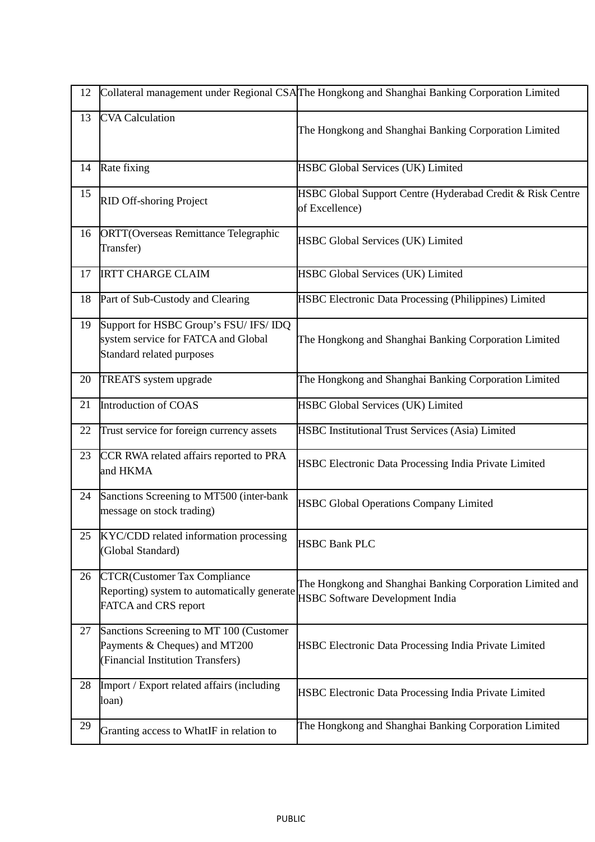| 12 | Collateral management under Regional CSAThe Hongkong and Shanghai Banking Corporation Limited                 |                                                                                                     |  |
|----|---------------------------------------------------------------------------------------------------------------|-----------------------------------------------------------------------------------------------------|--|
| 13 | <b>CVA</b> Calculation                                                                                        | The Hongkong and Shanghai Banking Corporation Limited                                               |  |
| 14 | Rate fixing                                                                                                   | HSBC Global Services (UK) Limited                                                                   |  |
| 15 | RID Off-shoring Project                                                                                       | HSBC Global Support Centre (Hyderabad Credit & Risk Centre<br>of Excellence)                        |  |
| 16 | <b>ORTT(Overseas Remittance Telegraphic</b><br>Transfer)                                                      | HSBC Global Services (UK) Limited                                                                   |  |
| 17 | <b>IRTT CHARGE CLAIM</b>                                                                                      | <b>HSBC Global Services (UK) Limited</b>                                                            |  |
| 18 | Part of Sub-Custody and Clearing                                                                              | HSBC Electronic Data Processing (Philippines) Limited                                               |  |
| 19 | Support for HSBC Group's FSU/ IFS/ IDQ<br>system service for FATCA and Global<br>Standard related purposes    | The Hongkong and Shanghai Banking Corporation Limited                                               |  |
| 20 | TREATS system upgrade                                                                                         | The Hongkong and Shanghai Banking Corporation Limited                                               |  |
| 21 | Introduction of COAS                                                                                          | HSBC Global Services (UK) Limited                                                                   |  |
| 22 | Trust service for foreign currency assets                                                                     | HSBC Institutional Trust Services (Asia) Limited                                                    |  |
| 23 | CCR RWA related affairs reported to PRA<br>and HKMA                                                           | HSBC Electronic Data Processing India Private Limited                                               |  |
| 24 | Sanctions Screening to MT500 (inter-bank<br>message on stock trading)                                         | <b>HSBC Global Operations Company Limited</b>                                                       |  |
| 25 | KYC/CDD related information processing<br>(Global Standard)                                                   | <b>HSBC Bank PLC</b>                                                                                |  |
| 26 | <b>CTCR(Customer Tax Compliance</b><br>Reporting) system to automatically generate<br>FATCA and CRS report    | The Hongkong and Shanghai Banking Corporation Limited and<br><b>HSBC Software Development India</b> |  |
| 27 | Sanctions Screening to MT 100 (Customer<br>Payments & Cheques) and MT200<br>(Financial Institution Transfers) | HSBC Electronic Data Processing India Private Limited                                               |  |
| 28 | Import / Export related affairs (including<br>loan)                                                           | HSBC Electronic Data Processing India Private Limited                                               |  |
| 29 | Granting access to WhatIF in relation to                                                                      | The Hongkong and Shanghai Banking Corporation Limited                                               |  |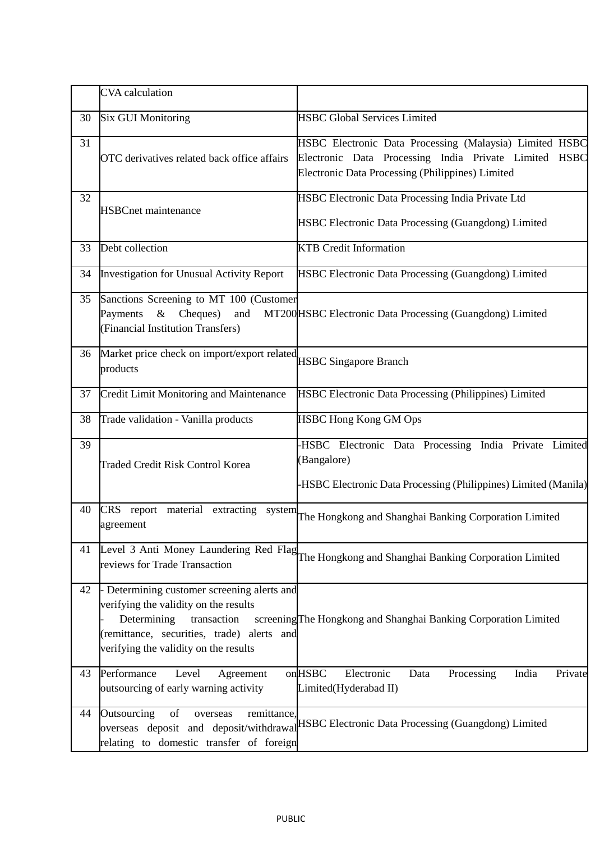|    | <b>CVA</b> calculation                                                                                                                                                                                    |                                                                                                                                                                             |  |  |  |
|----|-----------------------------------------------------------------------------------------------------------------------------------------------------------------------------------------------------------|-----------------------------------------------------------------------------------------------------------------------------------------------------------------------------|--|--|--|
| 30 | <b>Six GUI Monitoring</b>                                                                                                                                                                                 | <b>HSBC Global Services Limited</b>                                                                                                                                         |  |  |  |
| 31 | OTC derivatives related back office affairs                                                                                                                                                               | HSBC Electronic Data Processing (Malaysia) Limited HSBC<br>Electronic Data Processing India Private Limited HSBC<br><b>Electronic Data Processing (Philippines) Limited</b> |  |  |  |
| 32 | <b>HSBCnet maintenance</b>                                                                                                                                                                                | HSBC Electronic Data Processing India Private Ltd<br><b>HSBC Electronic Data Processing (Guangdong) Limited</b>                                                             |  |  |  |
| 33 | Debt collection                                                                                                                                                                                           | <b>KTB</b> Credit Information                                                                                                                                               |  |  |  |
| 34 | <b>Investigation for Unusual Activity Report</b>                                                                                                                                                          | HSBC Electronic Data Processing (Guangdong) Limited                                                                                                                         |  |  |  |
| 35 | Sanctions Screening to MT 100 (Customer<br>$\&$<br>Cheques)<br>Payments<br>and<br>(Financial Institution Transfers)                                                                                       | MT200HSBC Electronic Data Processing (Guangdong) Limited                                                                                                                    |  |  |  |
| 36 | Market price check on import/export related HSBC Singapore Branch<br>products                                                                                                                             |                                                                                                                                                                             |  |  |  |
| 37 | Credit Limit Monitoring and Maintenance                                                                                                                                                                   | HSBC Electronic Data Processing (Philippines) Limited                                                                                                                       |  |  |  |
| 38 | Trade validation - Vanilla products                                                                                                                                                                       | <b>HSBC Hong Kong GM Ops</b>                                                                                                                                                |  |  |  |
| 39 | <b>Traded Credit Risk Control Korea</b>                                                                                                                                                                   | -HSBC Electronic Data Processing India Private Limited<br>(Bangalore)<br><b>HSBC Electronic Data Processing (Philippines) Limited (Manila)</b>                              |  |  |  |
| 40 | CRS report material extracting system<br>agreement                                                                                                                                                        | The Hongkong and Shanghai Banking Corporation Limited                                                                                                                       |  |  |  |
| 41 | Level 3 Anti Money Laundering Red Flag<br>The Hongkong and Shanghai Banking Corporation Limited<br>reviews for Trade Transaction                                                                          |                                                                                                                                                                             |  |  |  |
| 42 | - Determining customer screening alerts and<br>verifying the validity on the results<br>Determining<br>transaction<br>(remittance, securities, trade) alerts and<br>verifying the validity on the results | screening The Hongkong and Shanghai Banking Corporation Limited                                                                                                             |  |  |  |
| 43 | Performance<br>Level<br>Agreement<br>outsourcing of early warning activity                                                                                                                                | onHSBC<br>Electronic<br>Processing<br>India<br>Private<br>Data<br>Limited(Hyderabad II)                                                                                     |  |  |  |
| 44 | of<br>Outsourcing<br>remittance,<br>overseas<br>overseas deposit and deposit/withdrawal<br>relating to domestic transfer of foreign                                                                       | HSBC Electronic Data Processing (Guangdong) Limited                                                                                                                         |  |  |  |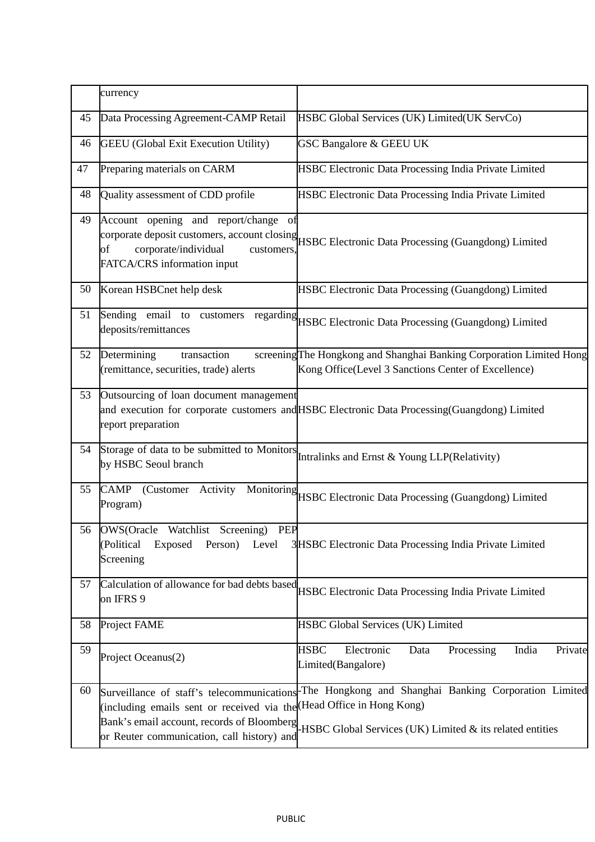|    | currency                                                                                                                                                         |                                                                                                                                                              |
|----|------------------------------------------------------------------------------------------------------------------------------------------------------------------|--------------------------------------------------------------------------------------------------------------------------------------------------------------|
| 45 | Data Processing Agreement-CAMP Retail                                                                                                                            | HSBC Global Services (UK) Limited(UK ServCo)                                                                                                                 |
| 46 | <b>GEEU</b> (Global Exit Execution Utility)                                                                                                                      | <b>GSC Bangalore &amp; GEEU UK</b>                                                                                                                           |
| 47 | Preparing materials on CARM                                                                                                                                      | HSBC Electronic Data Processing India Private Limited                                                                                                        |
| 48 | Quality assessment of CDD profile                                                                                                                                | <b>HSBC Electronic Data Processing India Private Limited</b>                                                                                                 |
| 49 | Account opening and report/change of<br>corporate/individual<br>FATCA/CRS information input                                                                      | corporate deposit customers, account closing<br>HSBC Electronic Data Processing (Guangdong) Limited                                                          |
| 50 | Korean HSBCnet help desk                                                                                                                                         | HSBC Electronic Data Processing (Guangdong) Limited                                                                                                          |
| 51 | Sending email to<br>customers<br>deposits/remittances                                                                                                            | regarding<br>HSBC Electronic Data Processing (Guangdong) Limited                                                                                             |
| 52 | Determining<br>transaction<br>(remittance, securities, trade) alerts                                                                                             | screeningThe Hongkong and Shanghai Banking Corporation Limited Hong<br>Kong Office(Level 3 Sanctions Center of Excellence)                                   |
| 53 | Outsourcing of loan document management<br>report preparation                                                                                                    | and execution for corporate customers and HSBC Electronic Data Processing(Guangdong) Limited                                                                 |
| 54 | Storage of data to be submitted to Monitors<br>by HSBC Seoul branch                                                                                              | Intralinks and Ernst & Young LLP(Relativity)                                                                                                                 |
| 55 | <b>CAMP</b><br>(Customer<br>Activity<br>Program)                                                                                                                 | Monitoring<br>HSBC Electronic Data Processing (Guangdong) Limited                                                                                            |
|    | 56 OWS(Oracle Watchlist Screening) PEP<br>Exposed Person) Level<br>(Political<br>Screening                                                                       | 3HSBC Electronic Data Processing India Private Limited                                                                                                       |
| 57 | Calculation of allowance for bad debts based<br>on IFRS 9                                                                                                        | HSBC Electronic Data Processing India Private Limited                                                                                                        |
| 58 | Project FAME                                                                                                                                                     | <b>HSBC Global Services (UK) Limited</b>                                                                                                                     |
| 59 | Project Oceanus(2)                                                                                                                                               | <b>HSBC</b><br>Electronic<br>Processing<br>India<br>Private<br>Data<br>Limited(Bangalore)                                                                    |
| 60 | (including emails sent or received via the Head Office in Hong Kong)<br>Bank's email account, records of Bloomberg<br>or Reuter communication, call history) and | Surveillance of staff's telecommunications-The Hongkong and Shanghai Banking Corporation Limited<br>HSBC Global Services (UK) Limited & its related entities |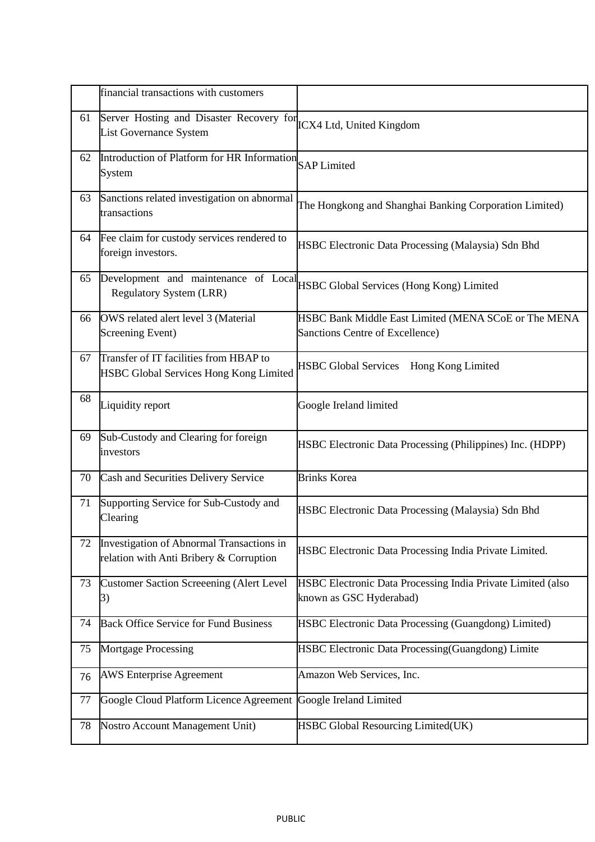|    | financial transactions with customers                                                |                                                                                         |
|----|--------------------------------------------------------------------------------------|-----------------------------------------------------------------------------------------|
| 61 | Server Hosting and Disaster Recovery for<br><b>List Governance System</b>            | ICX4 Ltd, United Kingdom                                                                |
| 62 | Introduction of Platform for HR Information<br>System                                | <b>SAP</b> Limited                                                                      |
| 63 | Sanctions related investigation on abnormal<br>transactions                          | The Hongkong and Shanghai Banking Corporation Limited)                                  |
| 64 | Fee claim for custody services rendered to<br>foreign investors.                     | HSBC Electronic Data Processing (Malaysia) Sdn Bhd                                      |
| 65 | Development and maintenance of Local<br><b>Regulatory System (LRR)</b>               | <b>HSBC Global Services (Hong Kong) Limited</b>                                         |
| 66 | OWS related alert level 3 (Material<br>Screening Event)                              | HSBC Bank Middle East Limited (MENA SCoE or The MENA<br>Sanctions Centre of Excellence) |
| 67 | Transfer of IT facilities from HBAP to<br>HSBC Global Services Hong Kong Limited     | HSBC Global Services Hong Kong Limited                                                  |
| 68 | Liquidity report                                                                     | Google Ireland limited                                                                  |
| 69 | Sub-Custody and Clearing for foreign<br>investors                                    | <b>HSBC Electronic Data Processing (Philippines) Inc. (HDPP)</b>                        |
| 70 | Cash and Securities Delivery Service                                                 | <b>Brinks Korea</b>                                                                     |
| 71 | Supporting Service for Sub-Custody and<br>Clearing                                   | HSBC Electronic Data Processing (Malaysia) Sdn Bhd                                      |
| 72 | Investigation of Abnormal Transactions in<br>relation with Anti Bribery & Corruption | HSBC Electronic Data Processing India Private Limited.                                  |
| 73 | Customer Saction Screeening (Alert Level<br>3)                                       | HSBC Electronic Data Processing India Private Limited (also<br>known as GSC Hyderabad)  |
| 74 | <b>Back Office Service for Fund Business</b>                                         | <b>HSBC Electronic Data Processing (Guangdong) Limited)</b>                             |
| 75 | <b>Mortgage Processing</b>                                                           | <b>HSBC Electronic Data Processing (Guangdong) Limite</b>                               |
| 76 | <b>AWS Enterprise Agreement</b>                                                      | Amazon Web Services, Inc.                                                               |
| 77 | Google Cloud Platform Licence Agreement                                              | Google Ireland Limited                                                                  |
| 78 | Nostro Account Management Unit)                                                      | HSBC Global Resourcing Limited(UK)                                                      |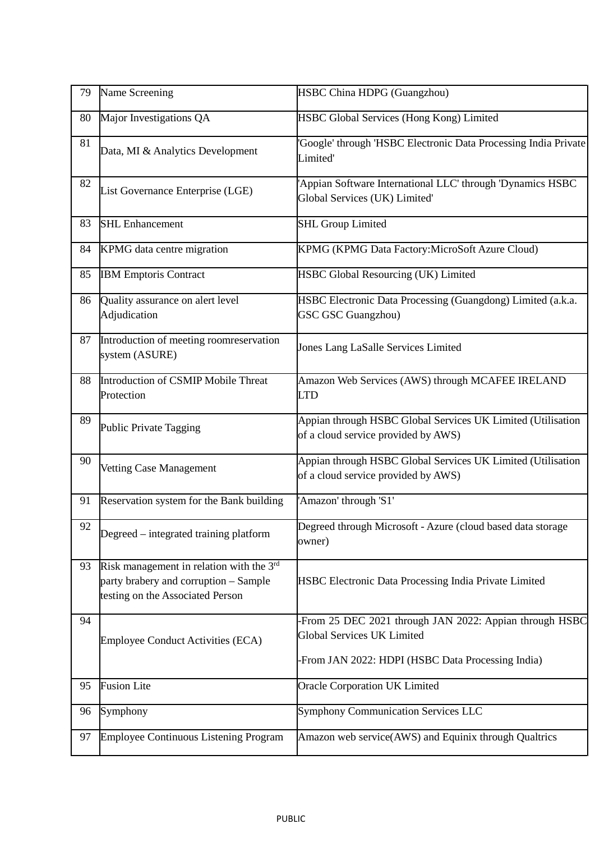| 79 | Name Screening                                                                                                        | HSBC China HDPG (Guangzhou)                                                                        |  |  |
|----|-----------------------------------------------------------------------------------------------------------------------|----------------------------------------------------------------------------------------------------|--|--|
| 80 | Major Investigations QA                                                                                               | HSBC Global Services (Hong Kong) Limited                                                           |  |  |
| 81 | Data, MI & Analytics Development                                                                                      | Google' through 'HSBC Electronic Data Processing India Private<br>Limited'                         |  |  |
| 82 | List Governance Enterprise (LGE)                                                                                      | Appian Software International LLC' through 'Dynamics HSBC<br>Global Services (UK) Limited'         |  |  |
| 83 | <b>SHL Enhancement</b>                                                                                                | <b>SHL Group Limited</b>                                                                           |  |  |
| 84 | KPMG data centre migration                                                                                            | KPMG (KPMG Data Factory: MicroSoft Azure Cloud)                                                    |  |  |
| 85 | <b>IBM Emptoris Contract</b>                                                                                          | <b>HSBC Global Resourcing (UK) Limited</b>                                                         |  |  |
| 86 | Quality assurance on alert level<br>Adjudication                                                                      | HSBC Electronic Data Processing (Guangdong) Limited (a.k.a.<br><b>GSC GSC Guangzhou</b> )          |  |  |
| 87 | Introduction of meeting roomreservation<br>system (ASURE)                                                             | Jones Lang LaSalle Services Limited                                                                |  |  |
| 88 | Introduction of CSMIP Mobile Threat<br>Protection                                                                     | Amazon Web Services (AWS) through MCAFEE IRELAND<br>LTD                                            |  |  |
| 89 | Public Private Tagging                                                                                                | Appian through HSBC Global Services UK Limited (Utilisation<br>of a cloud service provided by AWS) |  |  |
| 90 | Vetting Case Management                                                                                               | Appian through HSBC Global Services UK Limited (Utilisation<br>of a cloud service provided by AWS) |  |  |
| 91 | Reservation system for the Bank building                                                                              | 'Amazon' through 'S1'                                                                              |  |  |
| 92 | Degreed – integrated training platform                                                                                | Degreed through Microsoft - Azure (cloud based data storage<br>owner)                              |  |  |
| 93 | Risk management in relation with the 3rd<br>party brabery and corruption - Sample<br>testing on the Associated Person | HSBC Electronic Data Processing India Private Limited                                              |  |  |
| 94 | <b>Employee Conduct Activities (ECA)</b>                                                                              | -From 25 DEC 2021 through JAN 2022: Appian through HSBC<br><b>Global Services UK Limited</b>       |  |  |
|    |                                                                                                                       | From JAN 2022: HDPI (HSBC Data Processing India)                                                   |  |  |
| 95 | <b>Fusion Lite</b>                                                                                                    | Oracle Corporation UK Limited                                                                      |  |  |
| 96 | Symphony                                                                                                              | <b>Symphony Communication Services LLC</b>                                                         |  |  |
| 97 | <b>Employee Continuous Listening Program</b>                                                                          | Amazon web service(AWS) and Equinix through Qualtrics                                              |  |  |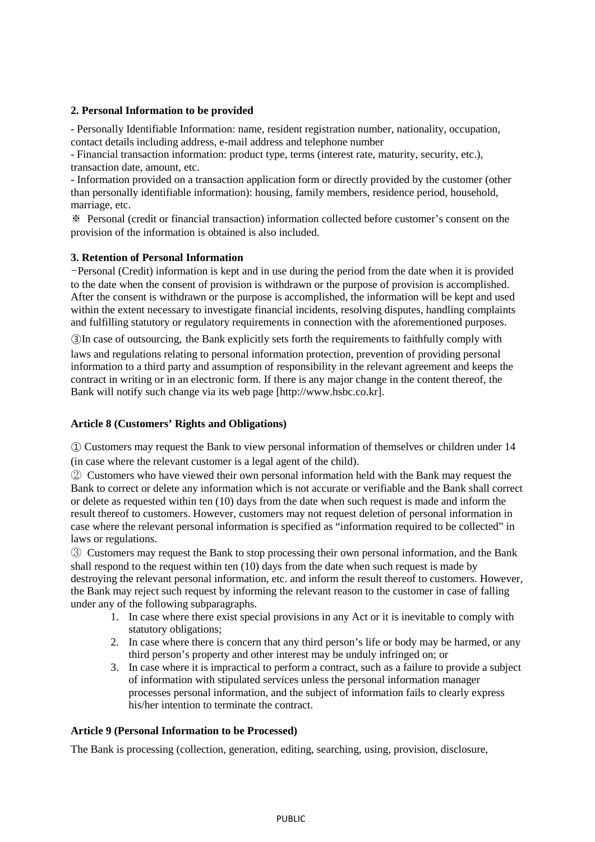# **2. Personal Information to be provided**

- Personally Identifiable Information: name, resident registration number, nationality, occupation, contact details including address, e-mail address and telephone number

- Financial transaction information: product type, terms (interest rate, maturity, security, etc.), transaction date, amount, etc.

- Information provided on a transaction application form or directly provided by the customer (other than personally identifiable information): housing, family members, residence period, household, marriage, etc.

※ Personal (credit or financial transaction) information collected before customer's consent on the provision of the information is obtained is also included.

# **3. Retention of Personal Information**

-Personal (Credit) information is kept and in use during the period from the date when it is provided to the date when the consent of provision is withdrawn or the purpose of provision is accomplished. After the consent is withdrawn or the purpose is accomplished, the information will be kept and used within the extent necessary to investigate financial incidents, resolving disputes, handling complaints and fulfilling statutory or regulatory requirements in connection with the aforementioned purposes.

③In case of outsourcing, the Bank explicitly sets forth the requirements to faithfully comply with laws and regulations relating to personal information protection, prevention of providing personal information to a third party and assumption of responsibility in the relevant agreement and keeps the contract in writing or in an electronic form. If there is any major change in the content thereof, the Bank will notify such change via its web page [http://www.hsbc.co.kr].

## **Article 8 (Customers' Rights and Obligations)**

① Customers may request the Bank to view personal information of themselves or children under 14 (in case where the relevant customer is a legal agent of the child).

② Customers who have viewed their own personal information held with the Bank may request the Bank to correct or delete any information which is not accurate or verifiable and the Bank shall correct or delete as requested within ten (10) days from the date when such request is made and inform the result thereof to customers. However, customers may not request deletion of personal information in case where the relevant personal information is specified as "information required to be collected" in laws or regulations.

③ Customers may request the Bank to stop processing their own personal information, and the Bank shall respond to the request within ten (10) days from the date when such request is made by destroying the relevant personal information, etc. and inform the result thereof to customers. However, the Bank may reject such request by informing the relevant reason to the customer in case of falling under any of the following subparagraphs.

- 1. In case where there exist special provisions in any Act or it is inevitable to comply with statutory obligations;
- 2. In case where there is concern that any third person's life or body may be harmed, or any third person's property and other interest may be unduly infringed on; or
- 3. In case where it is impractical to perform a contract, such as a failure to provide a subject of information with stipulated services unless the personal information manager processes personal information, and the subject of information fails to clearly express his/her intention to terminate the contract.

### **Article 9 (Personal Information to be Processed)**

The Bank is processing (collection, generation, editing, searching, using, provision, disclosure,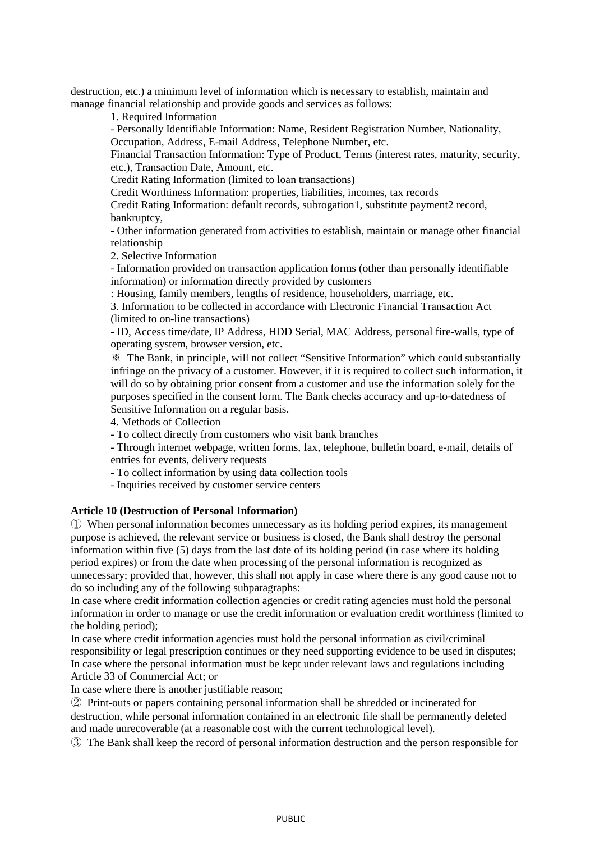destruction, etc.) a minimum level of information which is necessary to establish, maintain and manage financial relationship and provide goods and services as follows:

1. Required Information

- Personally Identifiable Information: Name, Resident Registration Number, Nationality, Occupation, Address, E-mail Address, Telephone Number, etc.

Financial Transaction Information: Type of Product, Terms (interest rates, maturity, security, etc.), Transaction Date, Amount, etc.

Credit Rating Information (limited to loan transactions)

Credit Worthiness Information: properties, liabilities, incomes, tax records

Credit Rating Information: default records, subrogation1, substitute payment2 record, bankruptcy,

- Other information generated from activities to establish, maintain or manage other financial relationship

2. Selective Information

- Information provided on transaction application forms (other than personally identifiable information) or information directly provided by customers

: Housing, family members, lengths of residence, householders, marriage, etc.

3. Information to be collected in accordance with Electronic Financial Transaction Act (limited to on-line transactions)

- ID, Access time/date, IP Address, HDD Serial, MAC Address, personal fire-walls, type of operating system, browser version, etc.

※ The Bank, in principle, will not collect "Sensitive Information" which could substantially infringe on the privacy of a customer. However, if it is required to collect such information, it will do so by obtaining prior consent from a customer and use the information solely for the purposes specified in the consent form. The Bank checks accuracy and up-to-datedness of Sensitive Information on a regular basis.

4. Methods of Collection

- To collect directly from customers who visit bank branches

- Through internet webpage, written forms, fax, telephone, bulletin board, e-mail, details of entries for events, delivery requests

- To collect information by using data collection tools

- Inquiries received by customer service centers

## **Article 10 (Destruction of Personal Information)**

① When personal information becomes unnecessary as its holding period expires, its management purpose is achieved, the relevant service or business is closed, the Bank shall destroy the personal information within five (5) days from the last date of its holding period (in case where its holding period expires) or from the date when processing of the personal information is recognized as unnecessary; provided that, however, this shall not apply in case where there is any good cause not to do so including any of the following subparagraphs:

In case where credit information collection agencies or credit rating agencies must hold the personal information in order to manage or use the credit information or evaluation credit worthiness (limited to the holding period);

In case where credit information agencies must hold the personal information as civil/criminal responsibility or legal prescription continues or they need supporting evidence to be used in disputes; In case where the personal information must be kept under relevant laws and regulations including Article 33 of Commercial Act; or

In case where there is another justifiable reason;

② Print-outs or papers containing personal information shall be shredded or incinerated for destruction, while personal information contained in an electronic file shall be permanently deleted and made unrecoverable (at a reasonable cost with the current technological level).

③ The Bank shall keep the record of personal information destruction and the person responsible for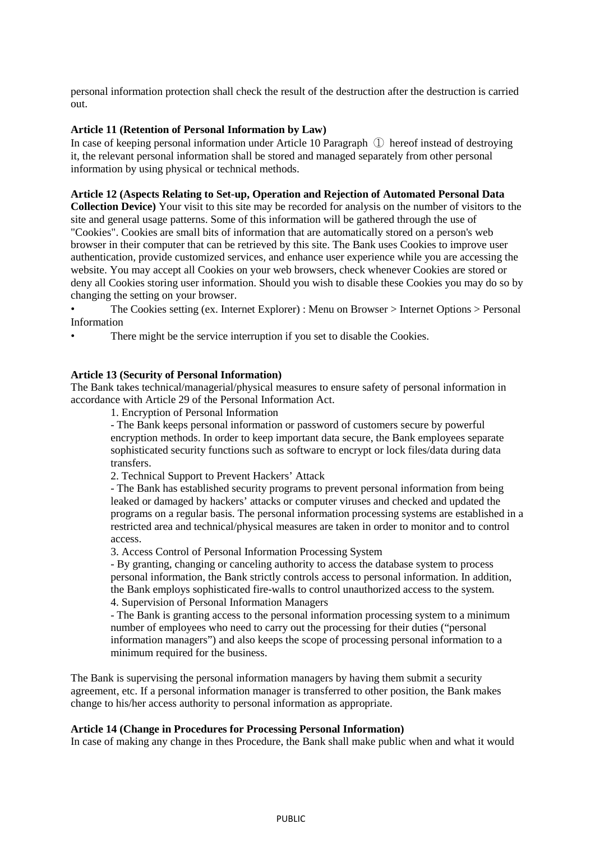personal information protection shall check the result of the destruction after the destruction is carried out.

## **Article 11 (Retention of Personal Information by Law)**

In case of keeping personal information under Article 10 Paragraph ① hereof instead of destroying it, the relevant personal information shall be stored and managed separately from other personal information by using physical or technical methods.

## **Article 12 (Aspects Relating to Set-up, Operation and Rejection of Automated Personal Data**

**Collection Device)** Your visit to this site may be recorded for analysis on the number of visitors to the site and general usage patterns. Some of this information will be gathered through the use of "Cookies". Cookies are small bits of information that are automatically stored on a person's web browser in their computer that can be retrieved by this site. The Bank uses Cookies to improve user authentication, provide customized services, and enhance user experience while you are accessing the website. You may accept all Cookies on your web browsers, check whenever Cookies are stored or deny all Cookies storing user information. Should you wish to disable these Cookies you may do so by changing the setting on your browser.

• The Cookies setting (ex. Internet Explorer) : Menu on Browser > Internet Options > Personal Information

There might be the service interruption if you set to disable the Cookies.

# **Article 13 (Security of Personal Information)**

The Bank takes technical/managerial/physical measures to ensure safety of personal information in accordance with Article 29 of the Personal Information Act.

1. Encryption of Personal Information

- The Bank keeps personal information or password of customers secure by powerful encryption methods. In order to keep important data secure, the Bank employees separate sophisticated security functions such as software to encrypt or lock files/data during data transfers.

2. Technical Support to Prevent Hackers' Attack

- The Bank has established security programs to prevent personal information from being leaked or damaged by hackers' attacks or computer viruses and checked and updated the programs on a regular basis. The personal information processing systems are established in a restricted area and technical/physical measures are taken in order to monitor and to control access.

3. Access Control of Personal Information Processing System

- By granting, changing or canceling authority to access the database system to process personal information, the Bank strictly controls access to personal information. In addition, the Bank employs sophisticated fire-walls to control unauthorized access to the system. 4. Supervision of Personal Information Managers

- The Bank is granting access to the personal information processing system to a minimum number of employees who need to carry out the processing for their duties ("personal information managers") and also keeps the scope of processing personal information to a minimum required for the business.

The Bank is supervising the personal information managers by having them submit a security agreement, etc. If a personal information manager is transferred to other position, the Bank makes change to his/her access authority to personal information as appropriate.

#### **Article 14 (Change in Procedures for Processing Personal Information)**

In case of making any change in thes Procedure, the Bank shall make public when and what it would